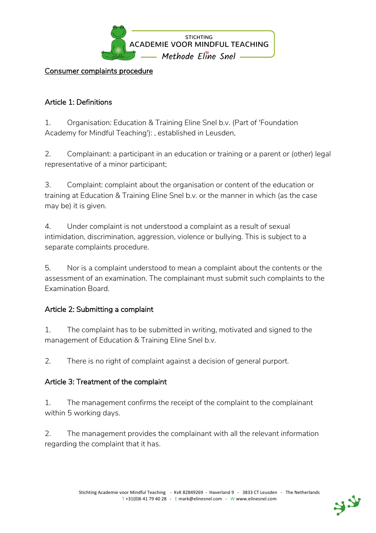

Consumer complaints procedure

### Article 1: Definitions

1. Organisation: Education & Training Eline Snel b.v. (Part of 'Foundation Academy for Mindful Teaching'): , established in Leusden,

2. Complainant: a participant in an education or training or a parent or (other) legal representative of a minor participant;

3. Complaint: complaint about the organisation or content of the education or training at Education & Training Eline Snel b.v. or the manner in which (as the case may be) it is given.

4. Under complaint is not understood a complaint as a result of sexual intimidation, discrimination, aggression, violence or bullying. This is subject to a separate complaints procedure.

5. Nor is a complaint understood to mean a complaint about the contents or the assessment of an examination. The complainant must submit such complaints to the Examination Board.

#### Article 2: Submitting a complaint

1. The complaint has to be submitted in writing, motivated and signed to the management of Education & Training Eline Snel b.v.

2. There is no right of complaint against a decision of general purport.

#### Article 3: Treatment of the complaint

1. The management confirms the receipt of the complaint to the complainant within 5 working days.

2. The management provides the complainant with all the relevant information regarding the complaint that it has.